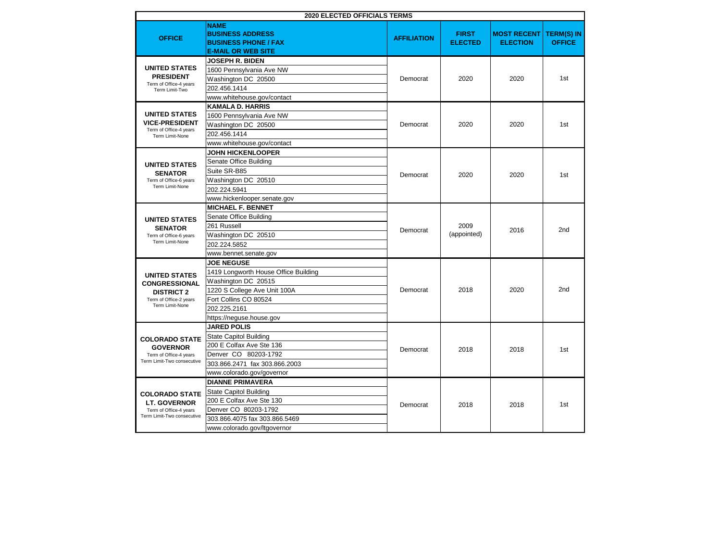| <b>2020 ELECTED OFFICIALS TERMS</b>                                                                            |                                                                                                                                                                                       |                    |                                |                                       |                                    |
|----------------------------------------------------------------------------------------------------------------|---------------------------------------------------------------------------------------------------------------------------------------------------------------------------------------|--------------------|--------------------------------|---------------------------------------|------------------------------------|
| <b>OFFICE</b>                                                                                                  | <b>NAME</b><br><b>BUSINESS ADDRESS</b><br><b>BUSINESS PHONE / FAX</b><br><b>E-MAIL OR WEB SITE</b>                                                                                    | <b>AFFILIATION</b> | <b>FIRST</b><br><b>ELECTED</b> | <b>MOST RECENT</b><br><b>ELECTION</b> | <b>TERM(S) IN</b><br><b>OFFICE</b> |
| <b>UNITED STATES</b><br><b>PRESIDENT</b><br>Term of Office-4 years<br>Term Limit-Two                           | <b>JOSEPH R. BIDEN</b><br>1600 Pennsylvania Ave NW<br>Washington DC 20500<br>202.456.1414<br>www.whitehouse.gov/contact                                                               | Democrat           | 2020                           | 2020                                  | 1st                                |
| <b>UNITED STATES</b><br><b>VICE-PRESIDENT</b><br>Term of Office-4 years<br>Term Limit-None                     | <b>KAMALA D. HARRIS</b><br>1600 Pennsylvania Ave NW<br>Washington DC 20500<br>202.456.1414<br>www.whitehouse.gov/contact                                                              | Democrat           | 2020                           | 2020                                  | 1st                                |
| <b>UNITED STATES</b><br><b>SENATOR</b><br>Term of Office-6 years<br>Term Limit-None                            | <b>JOHN HICKENLOOPER</b><br>Senate Office Building<br>Suite SR-B85<br>Washington DC 20510<br>202.224.5941<br>www.hickenlooper.senate.gov                                              | Democrat           | 2020                           | 2020                                  | 1st                                |
| <b>UNITED STATES</b><br><b>SENATOR</b><br>Term of Office-6 years<br>Term Limit-None                            | <b>MICHAEL F. BENNET</b><br>Senate Office Building<br>261 Russell<br>Washington DC 20510<br>202.224.5852<br>www.bennet.senate.gov                                                     | Democrat           | 2009<br>(appointed)            | 2016                                  | 2nd                                |
| <b>UNITED STATES</b><br><b>CONGRESSIONAL</b><br><b>DISTRICT 2</b><br>Term of Office-2 years<br>Term Limit-None | <b>JOE NEGUSE</b><br>1419 Longworth House Office Building<br>Washington DC 20515<br>1220 S College Ave Unit 100A<br>Fort Collins CO 80524<br>202.225.2161<br>https://neguse.house.gov | Democrat           | 2018                           | 2020                                  | 2 <sub>nd</sub>                    |
| <b>COLORADO STATE</b><br><b>GOVERNOR</b><br>Term of Office-4 years<br>Term Limit-Two consecutive               | <b>JARED POLIS</b><br><b>State Capitol Building</b><br>200 E Colfax Ave Ste 136<br>Denver CO 80203-1792<br>303.866.2471 fax 303.866.2003<br>www.colorado.gov/governor                 | Democrat           | 2018                           | 2018                                  | 1st                                |
| <b>COLORADO STATE</b><br><b>LT. GOVERNOR</b><br>Term of Office-4 years<br>Term Limit-Two consecutive           | <b>DIANNE PRIMAVERA</b><br><b>State Capitol Building</b><br>200 E Colfax Ave Ste 130<br>Denver CO 80203-1792<br>303.866.4075 fax 303.866.5469<br>www.colorado.gov/ltgovernor          | Democrat           | 2018                           | 2018                                  | 1st                                |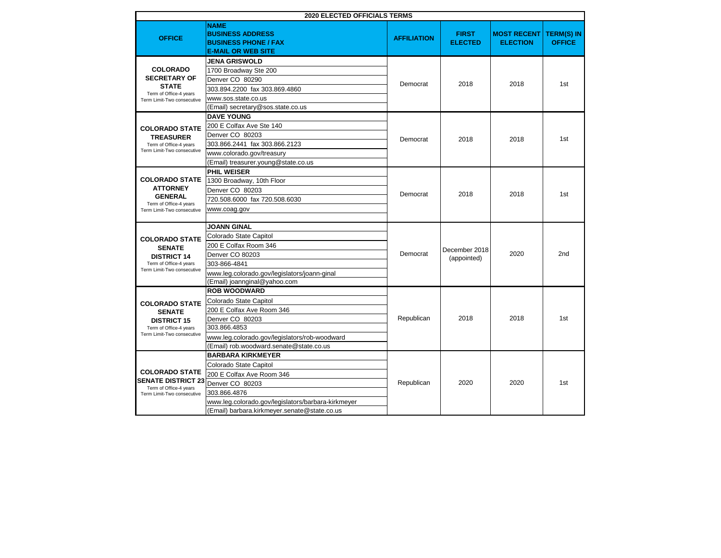|                                                                                                                                                                                                                     | <b>2020 ELECTED OFFICIALS TERMS</b>                                                                                                                                                                                                                                                             |                      |                                |                                       |                                    |
|---------------------------------------------------------------------------------------------------------------------------------------------------------------------------------------------------------------------|-------------------------------------------------------------------------------------------------------------------------------------------------------------------------------------------------------------------------------------------------------------------------------------------------|----------------------|--------------------------------|---------------------------------------|------------------------------------|
| <b>OFFICE</b>                                                                                                                                                                                                       | <b>NAME</b><br><b>BUSINESS ADDRESS</b><br><b>BUSINESS PHONE / FAX</b><br><b>E-MAIL OR WEB SITE</b>                                                                                                                                                                                              | <b>AFFILIATION</b>   | <b>FIRST</b><br><b>ELECTED</b> | <b>MOST RECENT</b><br><b>ELECTION</b> | <b>TERM(S) IN</b><br><b>OFFICE</b> |
| <b>COLORADO</b><br><b>SECRETARY OF</b><br><b>STATE</b><br>Term of Office-4 years<br>Term Limit-Two consecutive<br><b>COLORADO STATE</b><br><b>TREASURER</b><br>Term of Office-4 years<br>Term Limit-Two consecutive | <b>JENA GRISWOLD</b><br>1700 Broadway Ste 200<br>Denver CO 80290<br>303.894.2200 fax 303.869.4860<br>www.sos.state.co.us<br>(Email) secretary@sos.state.co.us<br><b>DAVE YOUNG</b><br>200 E Colfax Ave Ste 140<br>Denver CO 80203<br>303.866.2441 fax 303.866.2123<br>www.colorado.gov/treasury | Democrat<br>Democrat | 2018<br>2018                   | 2018<br>2018                          | 1st<br>1st                         |
| <b>COLORADO STATE</b><br><b>ATTORNEY</b><br><b>GENERAL</b><br>Term of Office-4 years<br>Term Limit-Two consecutive                                                                                                  | (Email) treasurer.young@state.co.us<br><b>PHIL WEISER</b><br>1300 Broadway, 10th Floor<br>Denver CO 80203<br>720.508.6000 fax 720.508.6030<br>www.coag.gov                                                                                                                                      | Democrat             | 2018                           | 2018                                  | 1st                                |
| <b>COLORADO STATE</b><br><b>SENATE</b><br><b>DISTRICT 14</b><br>Term of Office-4 years<br>Term Limit-Two consecutive                                                                                                | <b>JOANN GINAL</b><br>Colorado State Capitol<br>200 E Colfax Room 346<br>Denver CO 80203<br>303-866-4841<br>www.leg.colorado.gov/legislators/joann-ginal<br>(Email) joannginal@yahoo.com                                                                                                        | Democrat             | December 2018<br>(appointed)   | 2020                                  | 2nd                                |
| <b>COLORADO STATE</b><br><b>SENATE</b><br><b>DISTRICT 15</b><br>Term of Office-4 years<br>Term Limit-Two consecutive                                                                                                | <b>ROB WOODWARD</b><br>Colorado State Capitol<br>200 E Colfax Ave Room 346<br>Denver CO 80203<br>303.866.4853<br>www.leg.colorado.gov/legislators/rob-woodward<br>(Email) rob.woodward.senate@state.co.us                                                                                       | Republican           | 2018                           | 2018                                  | 1st                                |
| <b>COLORADO STATE</b><br><b>SENATE DISTRICT 23</b><br>Term of Office-4 years<br>Term Limit-Two consecutive                                                                                                          | <b>BARBARA KIRKMEYER</b><br>Colorado State Capitol<br>200 E Colfax Ave Room 346<br>Denver CO 80203<br>303.866.4876<br>www.leg.colorado.gov/legislators/barbara-kirkmeyer<br>(Email) barbara.kirkmeyer.senate@state.co.us                                                                        | Republican           | 2020                           | 2020                                  | 1st                                |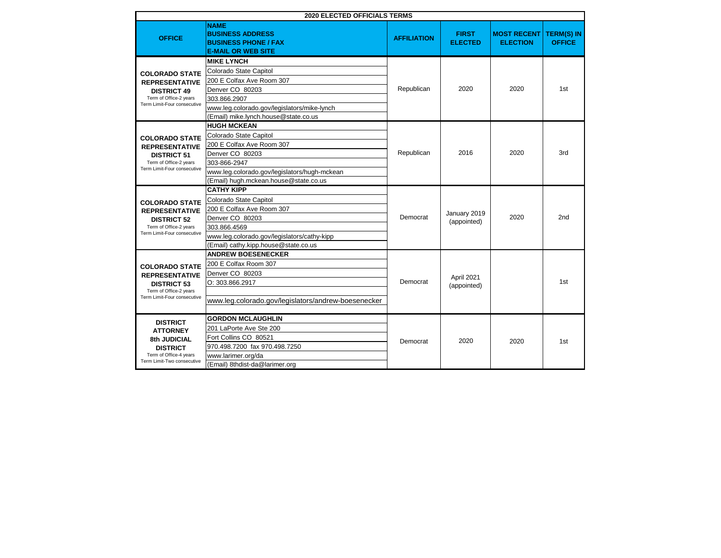| <b>2020 ELECTED OFFICIALS TERMS</b>                                                                                                  |                                                                                                                                                                                                       |                    |                                |                                       |                                    |
|--------------------------------------------------------------------------------------------------------------------------------------|-------------------------------------------------------------------------------------------------------------------------------------------------------------------------------------------------------|--------------------|--------------------------------|---------------------------------------|------------------------------------|
| <b>OFFICE</b>                                                                                                                        | <b>NAME</b><br><b>BUSINESS ADDRESS</b><br><b>BUSINESS PHONE / FAX</b><br><b>E-MAIL OR WEB SITE</b>                                                                                                    | <b>AFFILIATION</b> | <b>FIRST</b><br><b>ELECTED</b> | <b>MOST RECENT</b><br><b>ELECTION</b> | <b>TERM(S) IN</b><br><b>OFFICE</b> |
| <b>COLORADO STATE</b><br><b>REPRESENTATIVE</b><br><b>DISTRICT 49</b><br>Term of Office-2 years<br>Term Limit-Four consecutive        | <b>MIKE LYNCH</b><br>Colorado State Capitol<br>200 E Colfax Ave Room 307<br>Denver CO 80203<br>303.866.2907<br>www.leg.colorado.gov/legislators/mike-lynch<br>(Email) mike.lynch.house@state.co.us    | Republican         | 2020                           | 2020                                  | 1st                                |
| <b>COLORADO STATE</b><br><b>REPRESENTATIVE</b><br><b>DISTRICT 51</b><br>Term of Office-2 years<br>Term Limit-Four consecutive        | <b>HUGH MCKEAN</b><br>Colorado State Capitol<br>200 E Colfax Ave Room 307<br>Denver CO 80203<br>303-866-2947<br>www.leg.colorado.gov/legislators/hugh-mckean<br>(Email) hugh.mckean.house@state.co.us | Republican         | 2016                           | 2020                                  | 3rd                                |
| <b>COLORADO STATE</b><br><b>REPRESENTATIVE</b><br><b>DISTRICT 52</b><br>Term of Office-2 years<br>Term Limit-Four consecutive        | <b>CATHY KIPP</b><br>Colorado State Capitol<br>200 E Colfax Ave Room 307<br>Denver CO 80203<br>303.866.4569<br>www.leg.colorado.gov/legislators/cathy-kipp<br>(Email) cathy.kipp.house@state.co.us    | Democrat           | January 2019<br>(appointed)    | 2020                                  | 2nd                                |
| <b>COLORADO STATE</b><br><b>REPRESENTATIVE</b><br><b>DISTRICT 53</b><br>Term of Office-2 years<br>Term Limit-Four consecutive        | <b>ANDREW BOESENECKER</b><br>200 E Colfax Room 307<br>Denver CO 80203<br>O: 303.866.2917<br>www.leg.colorado.gov/legislators/andrew-boesenecker                                                       | Democrat           | April 2021<br>(appointed)      |                                       | 1st                                |
| <b>DISTRICT</b><br><b>ATTORNEY</b><br><b>8th JUDICIAL</b><br><b>DISTRICT</b><br>Term of Office-4 years<br>Term Limit-Two consecutive | <b>GORDON MCLAUGHLIN</b><br>201 LaPorte Ave Ste 200<br>Fort Collins CO 80521<br>970.498.7200 fax 970.498.7250<br>www.larimer.org/da<br>(Email) 8thdist-da@larimer.org                                 | Democrat           | 2020                           | 2020                                  | 1st                                |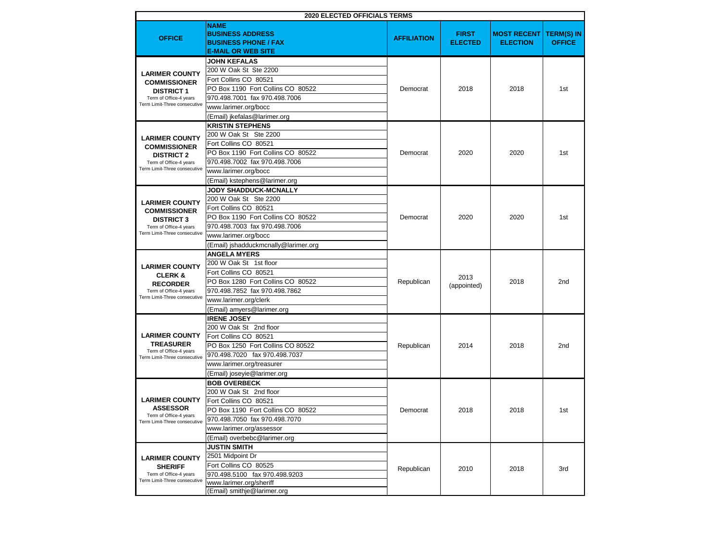|                                                                                                                             | <b>2020 ELECTED OFFICIALS TERMS</b>                                                                                                                                                                           |                    |                                |                                       |                                    |
|-----------------------------------------------------------------------------------------------------------------------------|---------------------------------------------------------------------------------------------------------------------------------------------------------------------------------------------------------------|--------------------|--------------------------------|---------------------------------------|------------------------------------|
| <b>OFFICE</b>                                                                                                               | <b>NAME</b><br><b>BUSINESS ADDRESS</b><br><b>BUSINESS PHONE / FAX</b><br><b>E-MAIL OR WEB SITE</b>                                                                                                            | <b>AFFILIATION</b> | <b>FIRST</b><br><b>ELECTED</b> | <b>MOST RECENT</b><br><b>ELECTION</b> | <b>TERM(S) IN</b><br><b>OFFICE</b> |
| <b>LARIMER COUNTY</b><br><b>COMMISSIONER</b><br><b>DISTRICT 1</b><br>Term of Office-4 years<br>Term Limit-Three consecutive | <b>JOHN KEFALAS</b><br>200 W Oak St Ste 2200<br>Fort Collins CO 80521<br>PO Box 1190 Fort Collins CO 80522<br>970.498.7001 fax 970.498.7006<br>www.larimer.org/bocc<br>(Email) jkefalas@larimer.org           | Democrat           | 2018                           | 2018                                  | 1st                                |
| <b>LARIMER COUNTY</b><br><b>COMMISSIONER</b><br><b>DISTRICT 2</b><br>Term of Office-4 years<br>Term Limit-Three consecutive | <b>KRISTIN STEPHENS</b><br>200 W Oak St Ste 2200<br>Fort Collins CO 80521<br>PO Box 1190 Fort Collins CO 80522<br>970.498.7002 fax 970.498.7006<br>www.larimer.org/bocc<br>(Email) kstephens@larimer.org      | Democrat           | 2020                           | 2020                                  | 1st                                |
| <b>LARIMER COUNTY</b><br><b>COMMISSIONER</b><br><b>DISTRICT 3</b><br>Term of Office-4 years<br>Term Limit-Three consecutive | JODY SHADDUCK-MCNALLY<br>200 W Oak St Ste 2200<br>Fort Collins CO 80521<br>PO Box 1190 Fort Collins CO 80522<br>970.498.7003 fax 970.498.7006<br>www.larimer.org/bocc<br>(Email) jshadduckmcnally@larimer.org | Democrat           | 2020                           | 2020                                  | 1st                                |
| <b>LARIMER COUNTY</b><br><b>CLERK &amp;</b><br><b>RECORDER</b><br>Term of Office-4 years<br>Term Limit-Three consecutive    | <b>ANGELA MYERS</b><br>200 W Oak St 1st floor<br>Fort Collins CO 80521<br>PO Box 1280 Fort Collins CO 80522<br>970.498.7852 fax 970.498.7862<br>www.larimer.org/clerk<br>(Email) amyers@larimer.org           | Republican         | 2013<br>(appointed)            | 2018                                  | 2nd                                |
| <b>LARIMER COUNTY</b><br><b>TREASURER</b><br>Term of Office-4 years<br>Term Limit-Three consecutive                         | <b>IRENE JOSEY</b><br>200 W Oak St 2nd floor<br>Fort Collins CO 80521<br>PO Box 1250 Fort Collins CO 80522<br>970.498.7020 fax 970.498.7037<br>www.larimer.org/treasurer<br>(Email) joseyie@larimer.org       | Republican         | 2014                           | 2018                                  | 2 <sub>nd</sub>                    |
| <b>LARIMER COUNTY</b><br><b>ASSESSOR</b><br>Term of Office-4 vears<br>Term Limit-Three consecutive                          | <b>BOB OVERBECK</b><br>200 W Oak St 2nd floor<br>Fort Collins CO 80521<br>PO Box 1190 Fort Collins CO 80522<br>970.498.7050 fax 970.498.7070<br>www.larimer.org/assessor<br>(Email) overbebc@larimer.org      | Democrat           | 2018                           | 2018                                  | 1st                                |
| <b>LARIMER COUNTY</b><br><b>SHERIFF</b><br>Term of Office-4 years<br>Term Limit-Three consecutive                           | <b>JUSTIN SMITH</b><br>2501 Midpoint Dr<br>Fort Collins CO 80525<br>970.498.5100 fax 970.498.9203<br>www.larimer.org/sheriff<br>(Email) smithje@larimer.org                                                   | Republican         | 2010                           | 2018                                  | 3rd                                |